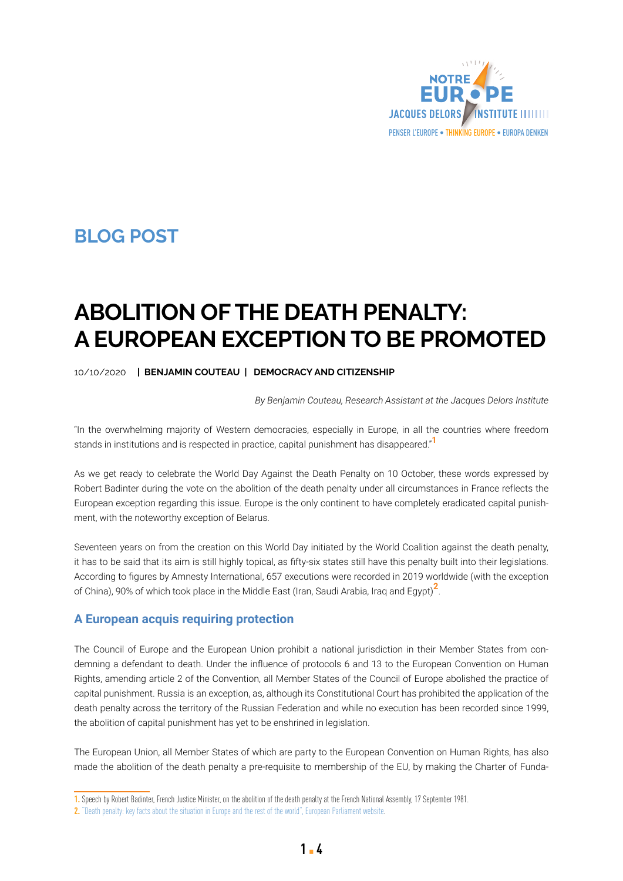

## **BLOG POST BLOG POST**

# **ABOLITION OF THE DEATH PENALTY: A EUROPEAN EXCEPTION TO BE PROMOTED**

#### 10/10/2020 **| BENJAMIN COUTEAU | DEMOCRACY AND CITIZENSHIP**

*By Benjamin Couteau, Research Assistant at the Jacques Delors Institute*

"In the overwhelming majority of Western democracies, especially in Europe, in all the countries where freedom stands in institutions and is respected in practice, capital punishment has disappeared."**<sup>1</sup>**

As we get ready to celebrate the World Day Against the Death Penalty on 10 October, these words expressed by Robert Badinter during the vote on the abolition of the death penalty under all circumstances in France reflects the European exception regarding this issue. Europe is the only continent to have completely eradicated capital punishment, with the noteworthy exception of Belarus.

Seventeen years on from the creation on this World Day initiated by the World Coalition against the death penalty, it has to be said that its aim is still highly topical, as fifty-six states still have this penalty built into their legislations. According to figures by Amnesty International, 657 executions were recorded in 2019 worldwide (with the exception of China), 90% of which took place in the Middle East (Iran, Saudi Arabia, Iraq and Egypt)**2**.

#### **A European acquis requiring protection**

The Council of Europe and the European Union prohibit a national jurisdiction in their Member States from condemning a defendant to death. Under the influence of protocols 6 and 13 to the European Convention on Human Rights, amending article 2 of the Convention, all Member States of the Council of Europe abolished the practice of capital punishment. Russia is an exception, as, although its Constitutional Court has prohibited the application of the death penalty across the territory of the Russian Federation and while no execution has been recorded since 1999, the abolition of capital punishment has yet to be enshrined in legislation.

The European Union, all Member States of which are party to the European Convention on Human Rights, has also made the abolition of the death penalty a pre-requisite to membership of the EU, by making the Charter of Funda-

**<sup>1.</sup>** Speech by Robert Badinter, French Justice Minister, on the abolition of the death penalty at the French National Assembly, 17 September 1981.

**<sup>2.</sup>** ["Death penalty: key facts about the situation in Europe and the rest of the world", European Parliament website.](https://www.europarl.europa.eu/news/en/headlines/world/20190212STO25910/death-penalty-in-europe-and-the-rest-of-the-world-key-facts)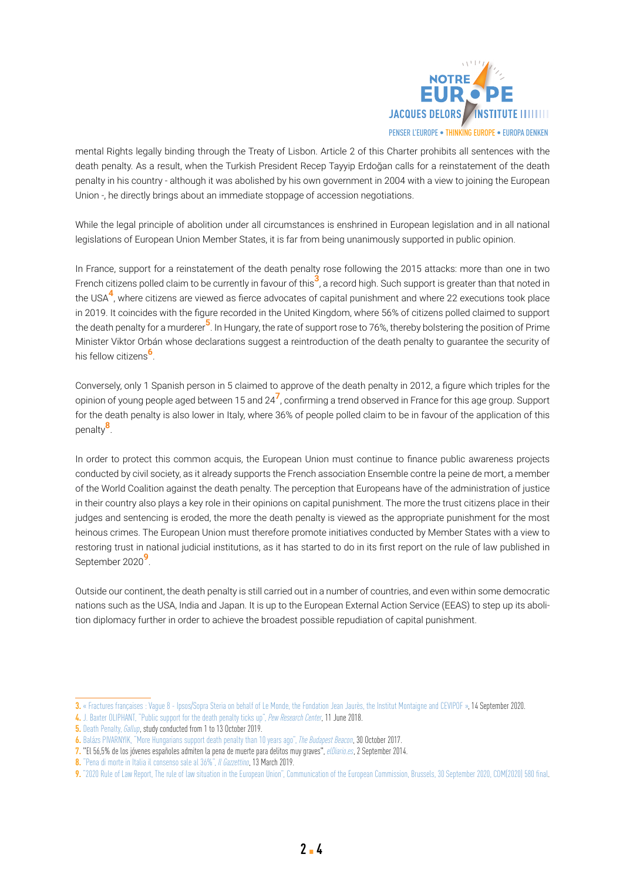

mental Rights legally binding through the Treaty of Lisbon. Article 2 of this Charter prohibits all sentences with the death penalty. As a result, when the Turkish President Recep Tayyip Erdoğan calls for a reinstatement of the death penalty in his country - although it was abolished by his own government in 2004 with a view to joining the European Union -, he directly brings about an immediate stoppage of accession negotiations.

While the legal principle of abolition under all circumstances is enshrined in European legislation and in all national legislations of European Union Member States, it is far from being unanimously supported in public opinion.

In France, support for a reinstatement of the death penalty rose following the 2015 attacks: more than one in two French citizens polled claim to be currently in favour of this**3**, a record high. Such support is greater than that noted in the USA**4**, where citizens are viewed as fierce advocates of capital punishment and where 22 executions took place in 2019. It coincides with the figure recorded in the United Kingdom, where 56% of citizens polled claimed to support the death penalty for a murderer**5**. In Hungary, the rate of support rose to 76%, thereby bolstering the position of Prime Minister Viktor Orbán whose declarations suggest a reintroduction of the death penalty to guarantee the security of his fellow citizens**6**.

Conversely, only 1 Spanish person in 5 claimed to approve of the death penalty in 2012, a figure which triples for the opinion of young people aged between 15 and 24**7**, confirming a trend observed in France for this age group. Support for the death penalty is also lower in Italy, where 36% of people polled claim to be in favour of the application of this penalty**8**.

In order to protect this common acquis, the European Union must continue to finance public awareness projects conducted by civil society, as it already supports the French association Ensemble contre la peine de mort, a member of the World Coalition against the death penalty. The perception that Europeans have of the administration of justice in their country also plays a key role in their opinions on capital punishment. The more the trust citizens place in their judges and sentencing is eroded, the more the death penalty is viewed as the appropriate punishment for the most heinous crimes. The European Union must therefore promote initiatives conducted by Member States with a view to restoring trust in national judicial institutions, as it has started to do in its first report on the rule of law published in September 2020**9**.

Outside our continent, the death penalty is still carried out in a number of countries, and even within some democratic nations such as the USA, India and Japan. It is up to the European External Action Service (EEAS) to step up its abolition diplomacy further in order to achieve the broadest possible repudiation of capital punishment.

**<sup>3.</sup>** « [Fractures françaises : Vague 8 - Ipsos/Sopra Steria on behalf of Le Monde, the Fondation Jean Jaurès, the Institut Montaigne and CEVIPOF](https://jean-jaures.org/sites/default/files/redac/commun/productions/2020/1309/fractures_2020.pdf) », 14 September 2020.

**<sup>4.</sup>** [J. Baxter OLIPHANT, "Public support for the death penalty ticks up",](https://www.pewresearch.org/fact-tank/2018/06/11/us-support-for-death-penalty-ticks-up-2018/) *Pew Research Center*, 11 June 2018.

**<sup>5.</sup>** [Death Penalty,](https://news.gallup.com/poll/1606/death-penalty.aspx) *Gallup*, study conducted from 1 to 13 October 2019.

**<sup>6.</sup>** [Balázs PIVARNYIK, "More Hungarians support death penalty than 10 years ago",](https://budapestbeacon.com/hungarians-support-death-penalty-10-years-ago/) *The Budapest Beacon*, 30 October 2017.

**<sup>7.</sup>** "El 56,5% de los jóvenes españoles admiten la pena de muerte para delitos muy graves", *[elDiario.es](https://www.eldiario.es/sociedad/jovenes-admiten-muerte-delitos-graves_1_4673605.html)*, 2 September 2014.

**<sup>8.</sup>** ["Pena di morte in Italia il consenso sale al 36%",](https://www.ilgazzettino.it/pay/osservatorio_pay/pena_di_morte_in_italia_il_consenso_sale_al_36-4358585.html) *Il Gazzettino*, 13 March 2019.

**<sup>9.</sup>** ["2020 Rule of Law Report, The rule of law situation in the European Union", Communication of the European Commission, Brussels, 30 September 2020, COM\(2020\) 580 final](https://ec.europa.eu/info/sites/info/files/communication_2020_rule_of_law_report_en.pdf).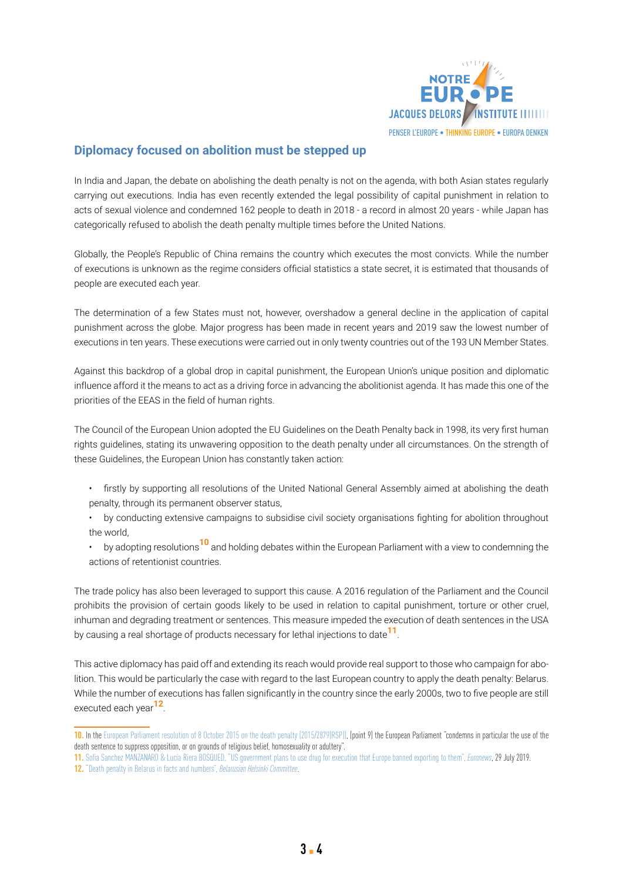

### **Diplomacy focused on abolition must be stepped up**

In India and Japan, the debate on abolishing the death penalty is not on the agenda, with both Asian states regularly carrying out executions. India has even recently extended the legal possibility of capital punishment in relation to acts of sexual violence and condemned 162 people to death in 2018 - a record in almost 20 years - while Japan has categorically refused to abolish the death penalty multiple times before the United Nations.

Globally, the People's Republic of China remains the country which executes the most convicts. While the number of executions is unknown as the regime considers official statistics a state secret, it is estimated that thousands of people are executed each year.

The determination of a few States must not, however, overshadow a general decline in the application of capital punishment across the globe. Major progress has been made in recent years and 2019 saw the lowest number of executions in ten years. These executions were carried out in only twenty countries out of the 193 UN Member States.

Against this backdrop of a global drop in capital punishment, the European Union's unique position and diplomatic influence afford it the means to act as a driving force in advancing the abolitionist agenda. It has made this one of the priorities of the EEAS in the field of human rights.

The Council of the European Union adopted the EU Guidelines on the Death Penalty back in 1998, its very first human rights guidelines, stating its unwavering opposition to the death penalty under all circumstances. On the strength of these Guidelines, the European Union has constantly taken action:

- firstly by supporting all resolutions of the United National General Assembly aimed at abolishing the death penalty, through its permanent observer status,
- by conducting extensive campaigns to subsidise civil society organisations fighting for abolition throughout the world,
- by adopting resolutions**10** and holding debates within the European Parliament with a view to condemning the actions of retentionist countries.

The trade policy has also been leveraged to support this cause. A 2016 regulation of the Parliament and the Council prohibits the provision of certain goods likely to be used in relation to capital punishment, torture or other cruel, inhuman and degrading treatment or sentences. This measure impeded the execution of death sentences in the USA by causing a real shortage of products necessary for lethal injections to date**11**.

This active diplomacy has paid off and extending its reach would provide real support to those who campaign for abolition. This would be particularly the case with regard to the last European country to apply the death penalty: Belarus. While the number of executions has fallen significantly in the country since the early 2000s, two to five people are still executed each year**12**.

**11.** Sofia Sanchez MANZANARO & [Lucía Riera BOSQUED, "US government plans to use drug for execution that Europe banned exporting to them",](https://www.euronews.com/2019/07/29/us-government-plans-to-use-drug-for-execution-that-europe-banned-exporting-to-them) *Euronews*, 29 July 2019.

**<sup>10.</sup>** In the [European Parliament resolution of 8 October 2015 on the death penalty \(2015/2879\(RSP\)\)](https://www.europarl.europa.eu/doceo/document/TA-8-2015-0348_EN.pdf), (point 9) the European Parliament "condemns in particular the use of the death sentence to suppress opposition, or on grounds of religious belief, homosexuality or adultery".

**<sup>12.</sup>** ["Death penalty in Belarus in facts and numbers",](https://belhelcom.org/en/topic-material/death-penalty-belarus-facts-and-numbers) *Belarusian Helsinki Committee*.